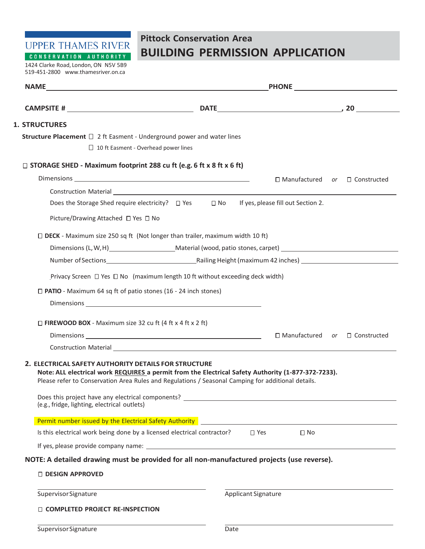**UPPER THAMES RIVER** CONSERVATION AUTHORITY

## **Pittock Conservation Area BUILDING PERMISSION APPLICATION**

1424 Clarke Road, London, ON N5V 5B9 519-451-2800 [www.thamesriver.on.ca](http://www.thamesriver.on.ca/)

| <b>NAME</b>                                                                                                                                                                                                                                                                                                                                                                                           | PHONE <u>______________</u> |                            |                                           |  |  |  |  |
|-------------------------------------------------------------------------------------------------------------------------------------------------------------------------------------------------------------------------------------------------------------------------------------------------------------------------------------------------------------------------------------------------------|-----------------------------|----------------------------|-------------------------------------------|--|--|--|--|
|                                                                                                                                                                                                                                                                                                                                                                                                       |                             |                            |                                           |  |  |  |  |
| <b>1. STRUCTURES</b>                                                                                                                                                                                                                                                                                                                                                                                  |                             |                            |                                           |  |  |  |  |
| <b>Structure Placement</b> $\Box$ 2 ft Easment - Underground power and water lines                                                                                                                                                                                                                                                                                                                    |                             |                            |                                           |  |  |  |  |
| $\Box$ 10 ft Easment - Overhead power lines                                                                                                                                                                                                                                                                                                                                                           |                             |                            |                                           |  |  |  |  |
| $\Box$ STORAGE SHED - Maximum footprint 288 cu ft (e.g. 6 ft x 8 ft x 6 ft)                                                                                                                                                                                                                                                                                                                           |                             |                            |                                           |  |  |  |  |
|                                                                                                                                                                                                                                                                                                                                                                                                       |                             |                            | $\Box$ Manufactured or $\Box$ Constructed |  |  |  |  |
|                                                                                                                                                                                                                                                                                                                                                                                                       |                             |                            |                                           |  |  |  |  |
| Does the Storage Shed require electricity? $\Box$ Yes $\Box$ No If yes, please fill out Section 2.                                                                                                                                                                                                                                                                                                    |                             |                            |                                           |  |  |  |  |
| Picture/Drawing Attached □ Yes □ No                                                                                                                                                                                                                                                                                                                                                                   |                             |                            |                                           |  |  |  |  |
| $\Box$ DECK - Maximum size 250 sq ft (Not longer than trailer, maximum width 10 ft)                                                                                                                                                                                                                                                                                                                   |                             |                            |                                           |  |  |  |  |
|                                                                                                                                                                                                                                                                                                                                                                                                       |                             |                            |                                           |  |  |  |  |
|                                                                                                                                                                                                                                                                                                                                                                                                       |                             |                            |                                           |  |  |  |  |
| Privacy Screen □ Yes □ No (maximum length 10 ft without exceeding deck width)                                                                                                                                                                                                                                                                                                                         |                             |                            |                                           |  |  |  |  |
| $\Box$ PATIO - Maximum 64 sq ft of patio stones (16 - 24 inch stones)                                                                                                                                                                                                                                                                                                                                 |                             |                            |                                           |  |  |  |  |
|                                                                                                                                                                                                                                                                                                                                                                                                       |                             |                            |                                           |  |  |  |  |
| $\Box$ FIREWOOD BOX - Maximum size 32 cu ft (4 ft x 4 ft x 2 ft)                                                                                                                                                                                                                                                                                                                                      |                             |                            |                                           |  |  |  |  |
|                                                                                                                                                                                                                                                                                                                                                                                                       |                             |                            | $\Box$ Manufactured or $\Box$ Constructed |  |  |  |  |
|                                                                                                                                                                                                                                                                                                                                                                                                       |                             |                            |                                           |  |  |  |  |
| 2. ELECTRICAL SAFETY AUTHORITY DETAILS FOR STRUCTURE<br>Note: ALL electrical work REQUIRES a permit from the Electrical Safety Authority (1-877-372-7233).<br>Please refer to Conservation Area Rules and Regulations / Seasonal Camping for additional details.<br>Does this project have any electrical components? _______________________________<br>(e.g., fridge, lighting, electrical outlets) |                             |                            |                                           |  |  |  |  |
| Permit number issued by the Electrical Safety Authority                                                                                                                                                                                                                                                                                                                                               |                             |                            |                                           |  |  |  |  |
| Is this electrical work being done by a licensed electrical contractor?                                                                                                                                                                                                                                                                                                                               |                             | $\Box$ Yes<br>$\Box$ No    |                                           |  |  |  |  |
|                                                                                                                                                                                                                                                                                                                                                                                                       |                             |                            |                                           |  |  |  |  |
| NOTE: A detailed drawing must be provided for all non-manufactured projects (use reverse).                                                                                                                                                                                                                                                                                                            |                             |                            |                                           |  |  |  |  |
| <b>DESIGN APPROVED</b>                                                                                                                                                                                                                                                                                                                                                                                |                             |                            |                                           |  |  |  |  |
| <b>Supervisor Signature</b>                                                                                                                                                                                                                                                                                                                                                                           |                             | <b>Applicant Signature</b> |                                           |  |  |  |  |
| □ COMPLETED PROJECT RE-INSPECTION                                                                                                                                                                                                                                                                                                                                                                     |                             |                            |                                           |  |  |  |  |
| Supervisor Signature                                                                                                                                                                                                                                                                                                                                                                                  | Date                        |                            |                                           |  |  |  |  |